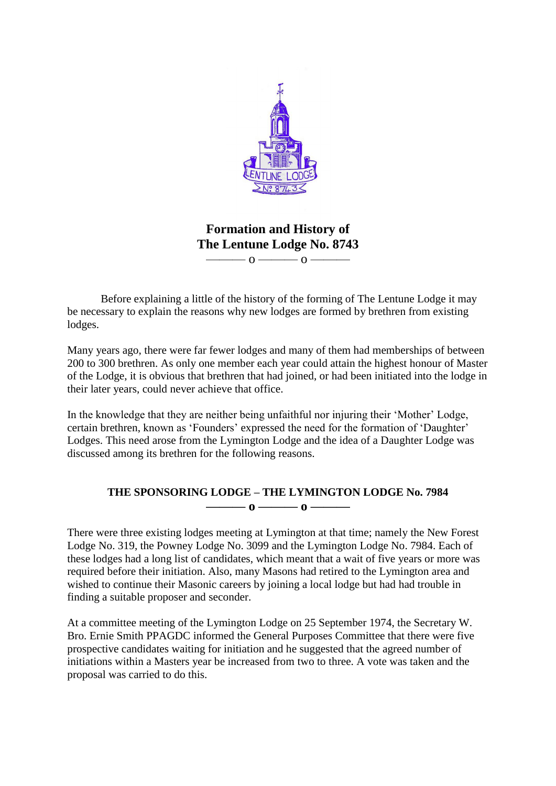

**Formation and History of The Lentune Lodge No. 8743**  $\overline{0}$   $\overline{0}$   $\overline{0}$   $\overline{0}$   $\overline{0}$   $\overline{0}$   $\overline{0}$   $\overline{0}$   $\overline{0}$   $\overline{0}$   $\overline{0}$   $\overline{0}$   $\overline{0}$   $\overline{0}$   $\overline{0}$   $\overline{0}$   $\overline{0}$   $\overline{0}$   $\overline{0}$   $\overline{0}$   $\overline{0}$   $\overline{0}$   $\overline{0}$   $\overline{0}$   $\overline{$ 

Before explaining a little of the history of the forming of The Lentune Lodge it may be necessary to explain the reasons why new lodges are formed by brethren from existing lodges.

Many years ago, there were far fewer lodges and many of them had memberships of between 200 to 300 brethren. As only one member each year could attain the highest honour of Master of the Lodge, it is obvious that brethren that had joined, or had been initiated into the lodge in their later years, could never achieve that office.

In the knowledge that they are neither being unfaithful nor injuring their 'Mother' Lodge, certain brethren, known as 'Founders' expressed the need for the formation of 'Daughter' Lodges. This need arose from the Lymington Lodge and the idea of a Daughter Lodge was discussed among its brethren for the following reasons.

## **THE SPONSORING LODGE – THE LYMINGTON LODGE No. 7984 ——— o ——— o ———**

There were three existing lodges meeting at Lymington at that time; namely the New Forest Lodge No. 319, the Powney Lodge No. 3099 and the Lymington Lodge No. 7984. Each of these lodges had a long list of candidates, which meant that a wait of five years or more was required before their initiation. Also, many Masons had retired to the Lymington area and wished to continue their Masonic careers by joining a local lodge but had had trouble in finding a suitable proposer and seconder.

At a committee meeting of the Lymington Lodge on 25 September 1974, the Secretary W. Bro. Ernie Smith PPAGDC informed the General Purposes Committee that there were five prospective candidates waiting for initiation and he suggested that the agreed number of initiations within a Masters year be increased from two to three. A vote was taken and the proposal was carried to do this.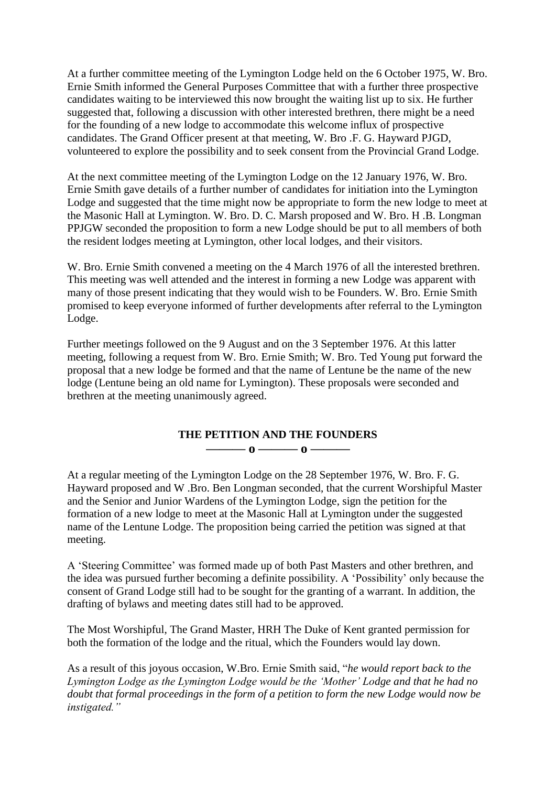At a further committee meeting of the Lymington Lodge held on the 6 October 1975, W. Bro. Ernie Smith informed the General Purposes Committee that with a further three prospective candidates waiting to be interviewed this now brought the waiting list up to six. He further suggested that, following a discussion with other interested brethren, there might be a need for the founding of a new lodge to accommodate this welcome influx of prospective candidates. The Grand Officer present at that meeting, W. Bro .F. G. Hayward PJGD, volunteered to explore the possibility and to seek consent from the Provincial Grand Lodge.

At the next committee meeting of the Lymington Lodge on the 12 January 1976, W. Bro. Ernie Smith gave details of a further number of candidates for initiation into the Lymington Lodge and suggested that the time might now be appropriate to form the new lodge to meet at the Masonic Hall at Lymington. W. Bro. D. C. Marsh proposed and W. Bro. H .B. Longman PPJGW seconded the proposition to form a new Lodge should be put to all members of both the resident lodges meeting at Lymington, other local lodges, and their visitors.

W. Bro. Ernie Smith convened a meeting on the 4 March 1976 of all the interested brethren. This meeting was well attended and the interest in forming a new Lodge was apparent with many of those present indicating that they would wish to be Founders. W. Bro. Ernie Smith promised to keep everyone informed of further developments after referral to the Lymington Lodge.

Further meetings followed on the 9 August and on the 3 September 1976. At this latter meeting, following a request from W. Bro. Ernie Smith; W. Bro. Ted Young put forward the proposal that a new lodge be formed and that the name of Lentune be the name of the new lodge (Lentune being an old name for Lymington). These proposals were seconded and brethren at the meeting unanimously agreed.

## **THE PETITION AND THE FOUNDERS ——— o ——— o ———**

At a regular meeting of the Lymington Lodge on the 28 September 1976, W. Bro. F. G. Hayward proposed and W .Bro. Ben Longman seconded, that the current Worshipful Master and the Senior and Junior Wardens of the Lymington Lodge, sign the petition for the formation of a new lodge to meet at the Masonic Hall at Lymington under the suggested name of the Lentune Lodge. The proposition being carried the petition was signed at that meeting.

A 'Steering Committee' was formed made up of both Past Masters and other brethren, and the idea was pursued further becoming a definite possibility. A 'Possibility' only because the consent of Grand Lodge still had to be sought for the granting of a warrant. In addition, the drafting of bylaws and meeting dates still had to be approved.

The Most Worshipful, The Grand Master, HRH The Duke of Kent granted permission for both the formation of the lodge and the ritual, which the Founders would lay down.

As a result of this joyous occasion, W.Bro. Ernie Smith said, "*he would report back to the Lymington Lodge as the Lymington Lodge would be the 'Mother' Lodge and that he had no doubt that formal proceedings in the form of a petition to form the new Lodge would now be instigated."*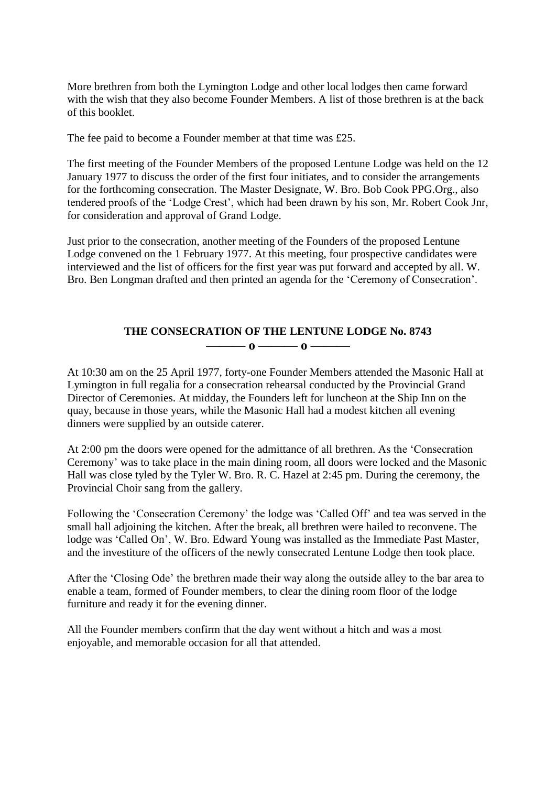More brethren from both the Lymington Lodge and other local lodges then came forward with the wish that they also become Founder Members. A list of those brethren is at the back of this booklet.

The fee paid to become a Founder member at that time was £25.

The first meeting of the Founder Members of the proposed Lentune Lodge was held on the 12 January 1977 to discuss the order of the first four initiates, and to consider the arrangements for the forthcoming consecration. The Master Designate, W. Bro. Bob Cook PPG.Org., also tendered proofs of the 'Lodge Crest', which had been drawn by his son, Mr. Robert Cook Jnr, for consideration and approval of Grand Lodge.

Just prior to the consecration, another meeting of the Founders of the proposed Lentune Lodge convened on the 1 February 1977. At this meeting, four prospective candidates were interviewed and the list of officers for the first year was put forward and accepted by all. W. Bro. Ben Longman drafted and then printed an agenda for the 'Ceremony of Consecration'.

## **THE CONSECRATION OF THE LENTUNE LODGE No. 8743 ——— o ——— o ———**

At 10:30 am on the 25 April 1977, forty-one Founder Members attended the Masonic Hall at Lymington in full regalia for a consecration rehearsal conducted by the Provincial Grand Director of Ceremonies. At midday, the Founders left for luncheon at the Ship Inn on the quay, because in those years, while the Masonic Hall had a modest kitchen all evening dinners were supplied by an outside caterer.

At 2:00 pm the doors were opened for the admittance of all brethren. As the 'Consecration Ceremony' was to take place in the main dining room, all doors were locked and the Masonic Hall was close tyled by the Tyler W. Bro. R. C. Hazel at 2:45 pm. During the ceremony, the Provincial Choir sang from the gallery.

Following the 'Consecration Ceremony' the lodge was 'Called Off' and tea was served in the small hall adjoining the kitchen. After the break, all brethren were hailed to reconvene. The lodge was 'Called On', W. Bro. Edward Young was installed as the Immediate Past Master, and the investiture of the officers of the newly consecrated Lentune Lodge then took place.

After the 'Closing Ode' the brethren made their way along the outside alley to the bar area to enable a team, formed of Founder members, to clear the dining room floor of the lodge furniture and ready it for the evening dinner.

All the Founder members confirm that the day went without a hitch and was a most enjoyable, and memorable occasion for all that attended.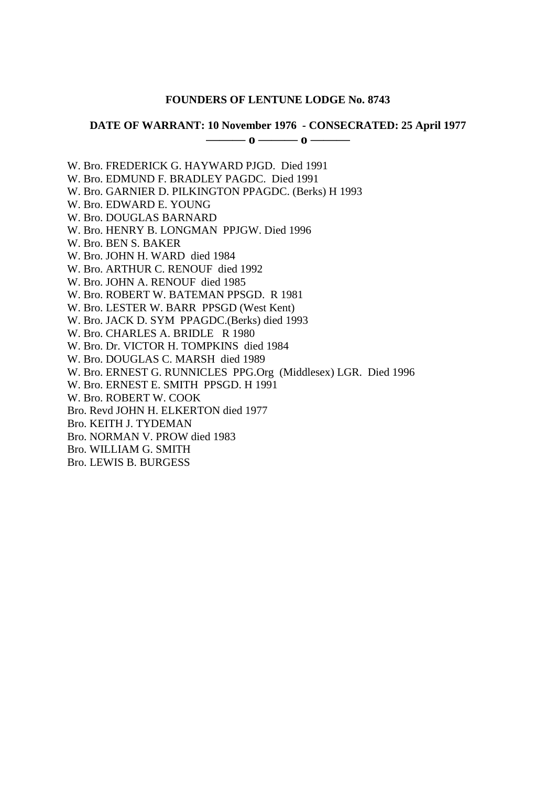#### **FOUNDERS OF LENTUNE LODGE No. 8743**

### **DATE OF WARRANT: 10 November 1976 - CONSECRATED: 25 April 1977**

**——— o ——— o ———**

W. Bro. FREDERICK G. HAYWARD PJGD. Died 1991

W. Bro. EDMUND F. BRADLEY PAGDC. Died 1991

W. Bro. GARNIER D. PILKINGTON PPAGDC. (Berks) H 1993

W. Bro. EDWARD E. YOUNG

W. Bro. DOUGLAS BARNARD

W. Bro. HENRY B. LONGMAN PPJGW. Died 1996

W. Bro. BEN S. BAKER

W. Bro. JOHN H. WARD died 1984

W. Bro. ARTHUR C. RENOUF died 1992

W. Bro. JOHN A. RENOUF died 1985

W. Bro. ROBERT W. BATEMAN PPSGD. R 1981

W. Bro. LESTER W. BARR PPSGD (West Kent)

W. Bro. JACK D. SYM PPAGDC.(Berks) died 1993

W. Bro. CHARLES A. BRIDLE R 1980

W. Bro. Dr. VICTOR H. TOMPKINS died 1984

W. Bro. DOUGLAS C. MARSH died 1989

W. Bro. ERNEST G. RUNNICLES PPG.Org (Middlesex) LGR. Died 1996

W. Bro. ERNEST E. SMITH PPSGD. H 1991

W. Bro. ROBERT W. COOK

Bro. Revd JOHN H. ELKERTON died 1977

Bro. KEITH J. TYDEMAN

Bro. NORMAN V. PROW died 1983

Bro. WILLIAM G. SMITH

Bro. LEWIS B. BURGESS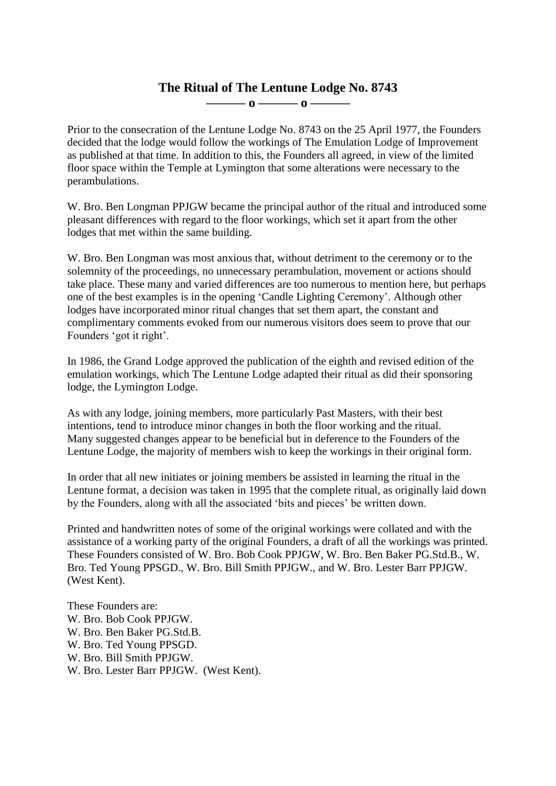# **The Ritual of The Lentune Lodge No. 8743 ——— o ——— o ———**

Prior to the consecration of the Lentune Lodge No. 8743 on the 25 April 1977, the Founders decided that the lodge would follow the workings of The Emulation Lodge of Improvement as published at that time. In addition to this, the Founders all agreed, in view of the limited floor space within the Temple at Lymington that some alterations were necessary to the perambulations.

W. Bro. Ben Longman PPJGW became the principal author of the ritual and introduced some pleasant differences with regard to the floor workings, which set it apart from the other lodges that met within the same building.

W. Bro. Ben Longman was most anxious that, without detriment to the ceremony or to the solemnity of the proceedings, no unnecessary perambulation, movement or actions should take place. These many and varied differences are too numerous to mention here, but perhaps one of the best examples is in the opening 'Candle Lighting Ceremony'. Although other lodges have incorporated minor ritual changes that set them apart, the constant and complimentary comments evoked from our numerous visitors does seem to prove that our Founders 'got it right'.

In 1986, the Grand Lodge approved the publication of the eighth and revised edition of the emulation workings, which The Lentune Lodge adapted their ritual as did their sponsoring lodge, the Lymington Lodge.

As with any lodge, joining members, more particularly Past Masters, with their best intentions, tend to introduce minor changes in both the floor working and the ritual. Many suggested changes appear to be beneficial but in deference to the Founders of the Lentune Lodge, the majority of members wish to keep the workings in their original form.

In order that all new initiates or joining members be assisted in learning the ritual in the Lentune format, a decision was taken in 1995 that the complete ritual, as originally laid down by the Founders, along with all the associated 'bits and pieces' be written down.

Printed and handwritten notes of some of the original workings were collated and with the assistance of a working party of the original Founders, a draft of all the workings was printed. These Founders consisted of W. Bro. Bob Cook PPJGW, W. Bro. Ben Baker PG.Std.B., W. Bro. Ted Young PPSGD., W. Bro. Bill Smith PPJGW., and W. Bro. Lester Barr PPJGW. (West Kent).

These Founders are: W. Bro. Bob Cook PPJGW. W. Bro. Ben Baker PG.Std.B. W. Bro. Ted Young PPSGD. W. Bro. Bill Smith PPJGW. W. Bro. Lester Barr PPJGW. (West Kent).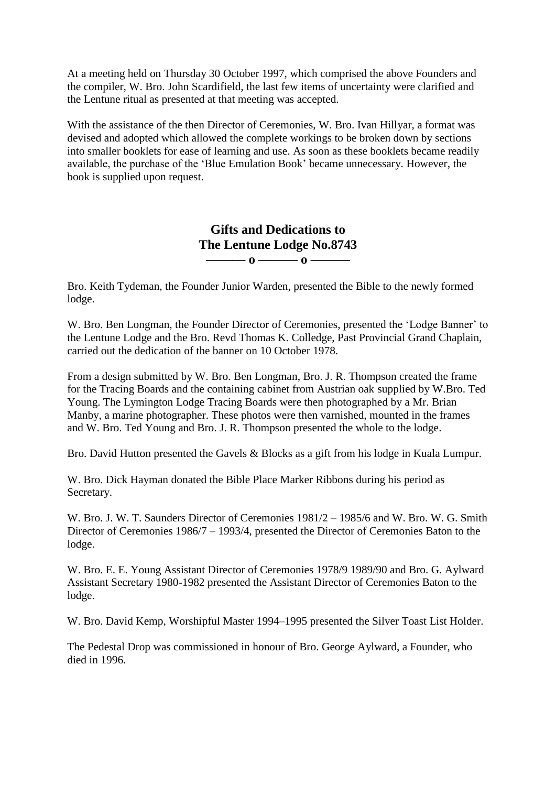At a meeting held on Thursday 30 October 1997, which comprised the above Founders and the compiler, W. Bro. John Scardifield, the last few items of uncertainty were clarified and the Lentune ritual as presented at that meeting was accepted.

With the assistance of the then Director of Ceremonies, W. Bro. Ivan Hillyar, a format was devised and adopted which allowed the complete workings to be broken down by sections into smaller booklets for ease of learning and use. As soon as these booklets became readily available, the purchase of the 'Blue Emulation Book' became unnecessary. However, the book is supplied upon request.

> **Gifts and Dedications to The Lentune Lodge No.8743 ——— o ——— o ———**

Bro. Keith Tydeman, the Founder Junior Warden, presented the Bible to the newly formed lodge.

W. Bro. Ben Longman, the Founder Director of Ceremonies, presented the 'Lodge Banner' to the Lentune Lodge and the Bro. Revd Thomas K. Colledge, Past Provincial Grand Chaplain, carried out the dedication of the banner on 10 October 1978.

From a design submitted by W. Bro. Ben Longman, Bro. J. R. Thompson created the frame for the Tracing Boards and the containing cabinet from Austrian oak supplied by W.Bro. Ted Young. The Lymington Lodge Tracing Boards were then photographed by a Mr. Brian Manby, a marine photographer. These photos were then varnished, mounted in the frames and W. Bro. Ted Young and Bro. J. R. Thompson presented the whole to the lodge.

Bro. David Hutton presented the Gavels & Blocks as a gift from his lodge in Kuala Lumpur.

W. Bro. Dick Hayman donated the Bible Place Marker Ribbons during his period as Secretary.

W. Bro. J. W. T. Saunders Director of Ceremonies 1981/2 – 1985/6 and W. Bro. W. G. Smith Director of Ceremonies 1986/7 – 1993/4, presented the Director of Ceremonies Baton to the lodge.

W. Bro. E. E. Young Assistant Director of Ceremonies 1978/9 1989/90 and Bro. G. Aylward Assistant Secretary 1980-1982 presented the Assistant Director of Ceremonies Baton to the lodge.

W. Bro. David Kemp, Worshipful Master 1994–1995 presented the Silver Toast List Holder.

The Pedestal Drop was commissioned in honour of Bro. George Aylward, a Founder, who died in 1996.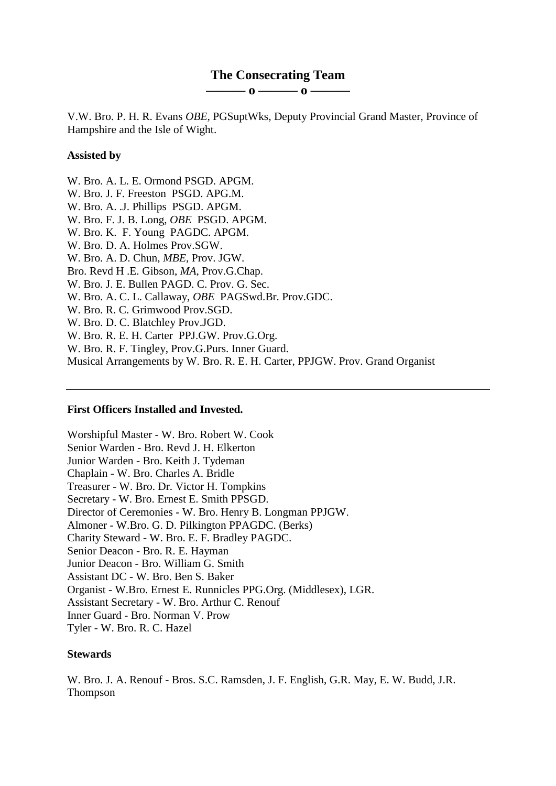## **The Consecrating Team**

**——— o ——— o ———**

V.W. Bro. P. H. R. Evans *OBE,* PGSuptWks, Deputy Provincial Grand Master, Province of Hampshire and the Isle of Wight.

### **Assisted by**

- W. Bro. A. L. E. Ormond PSGD. APGM.
- W. Bro. J. F. Freeston PSGD. APG.M.
- W. Bro. A. .J. Phillips PSGD. APGM.
- W. Bro. F. J. B. Long, *OBE* PSGD. APGM.
- W. Bro. K. F. Young PAGDC. APGM.
- W. Bro. D. A. Holmes Prov.SGW.
- W. Bro. A. D. Chun, *MBE,* Prov. JGW.
- Bro. Revd H .E. Gibson, *MA,* Prov.G.Chap.
- W. Bro. J. E. Bullen PAGD. C. Prov. G. Sec.
- W. Bro. A. C. L. Callaway, *OBE* PAGSwd.Br. Prov.GDC.
- W. Bro. R. C. Grimwood Prov.SGD.
- W. Bro. D. C. Blatchley Prov.JGD.
- W. Bro. R. E. H. Carter PPJ.GW. Prov.G.Org.
- W. Bro. R. F. Tingley, Prov.G.Purs. Inner Guard.

Musical Arrangements by W. Bro. R. E. H. Carter, PPJGW. Prov. Grand Organist

### **First Officers Installed and Invested.**

Worshipful Master - W. Bro. Robert W. Cook Senior Warden - Bro. Revd J. H. Elkerton Junior Warden - Bro. Keith J. Tydeman Chaplain - W. Bro. Charles A. Bridle Treasurer - W. Bro. Dr. Victor H. Tompkins Secretary - W. Bro. Ernest E. Smith PPSGD. Director of Ceremonies - W. Bro. Henry B. Longman PPJGW. Almoner - W.Bro. G. D. Pilkington PPAGDC. (Berks) Charity Steward - W. Bro. E. F. Bradley PAGDC. Senior Deacon - Bro. R. E. Hayman Junior Deacon - Bro. William G. Smith Assistant DC - W. Bro. Ben S. Baker Organist - W.Bro. Ernest E. Runnicles PPG.Org. (Middlesex), LGR. Assistant Secretary - W. Bro. Arthur C. Renouf Inner Guard - Bro. Norman V. Prow Tyler - W. Bro. R. C. Hazel

### **Stewards**

W. Bro. J. A. Renouf - Bros. S.C. Ramsden, J. F. English, G.R. May, E. W. Budd, J.R. Thompson